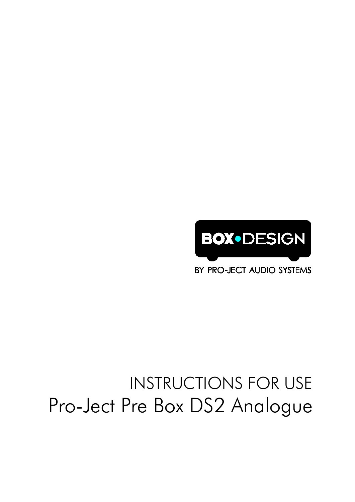# INSTRUCTIONS FOR USE Pro-Ject Pre Box DS2 Analogue

BY PRO-JECT AUDIO SYSTEMS

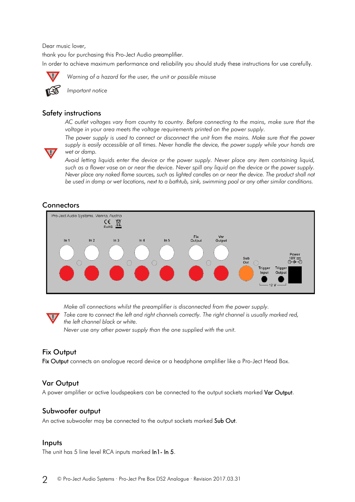Dear music lover,

thank you for purchasing this Pro-Ject Audio preamplifier.

In order to achieve maximum performance and reliability you should study these instructions for use carefully.



*Warning of a hazard for the user, the unit or possible misuse*



*Important notice*

#### Safety instructions

*AC outlet voltages vary from country to country. Before connecting to the mains, make sure that the voltage in your area meets the voltage requirements printed on the power supply.*

*The power supply is used to connect or disconnect the unit from the mains. Make sure that the power supply is easily accessible at all times. Never handle the device, the power supply while your hands are wet or damp.*



*Avoid letting liquids enter the device or the power supply. Never place any item containing liquid, such as a flower vase on or near the device. Never spill any liquid on the device or the power supply. Never place any naked flame sources, such as lighted candles on or near the device. The product shall not be used in damp or wet locations, next to a bathtub, sink, swimming pool or any other similar conditions.*

# **Connectors**



*Make all connections whilst the preamplifier is disconnected from the power supply.*

*Take care to connect the left and right channels correctly. The right channel is usually marked red, the left channel black or white.*

*Never use any other power supply than the one supplied with the unit.*

# Fix Output

**!**

Fix Output connects an analogue record device or a headphone amplifier like a Pro-Ject Head Box.

# Var Output

A power amplifier or active loudspeakers can be connected to the output sockets marked Var Output.

## Subwoofer output

An active subwoofer may be connected to the output sockets marked Sub Out.

## Inputs

The unit has 5 line level RCA inputs marked In1- In 5.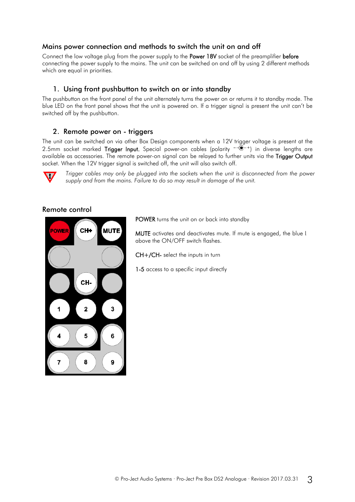# Mains power connection and methods to switch the unit on and off

Connect the low voltage plug from the power supply to the Power 18V socket of the preamplifier before connecting the power supply to the mains. The unit can be switched on and off by using 2 different methods which are equal in priorities.

## 1. Using front pushbutton to switch on or into standby

The pushbutton on the front panel of the unit alternately turns the power on or returns it to standby mode. The blue LED on the front panel shows that the unit is powered on. If a trigger signal is present the unit can't be switched off by the pushbutton.

## 2. Remote power on - triggers

The unit can be switched on via other Box Design components when a 12V trigger voltage is present at the 2.5mm socket marked **Trigger Input.** Special power-on cables (polarity  $\overline{-}$   $\bullet$  +) in diverse lengths are available as accessories. The remote power-on signal can be relayed to further units via the Trigger Output socket. When the 12V trigger signal is switched off, the unit will also switch off.



*Trigger cables may only be plugged into the sockets when the unit is disconnected from the power supply and from the mains. Failure to do so may result in damage of the unit.*

#### Remote control



POWER turns the unit on or back into standby

MUTE activates and deactivates mute. If mute is engaged, the blue L above the ON/OFF switch flashes.

CH+/CH- select the inputs in turn

1-5 access to a specific input directly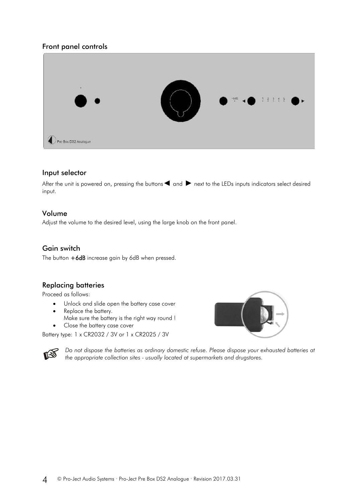# Front panel controls



## Input selector

After the unit is powered on, pressing the buttons < and ► next to the LEDs inputs indicators select desired input.

## Volume

Adjust the volume to the desired level, using the large knob on the front panel.

# Gain switch

The button  $+6dB$  increase gain by 6dB when pressed.

# Replacing batteries

Proceed as follows:

- Unlock and slide open the battery case cover
- Replace the battery. Make sure the battery is the right way round !
- Close the battery case cover



Battery type: 1 x CR2032 / 3V or 1 x CR2025 / 3V

*Do not dispose the batteries as ordinary domestic refuse. Please dispose your exhausted batteries at*  心心 *the appropriate collection sites - usually located at supermarkets and drugstores.*